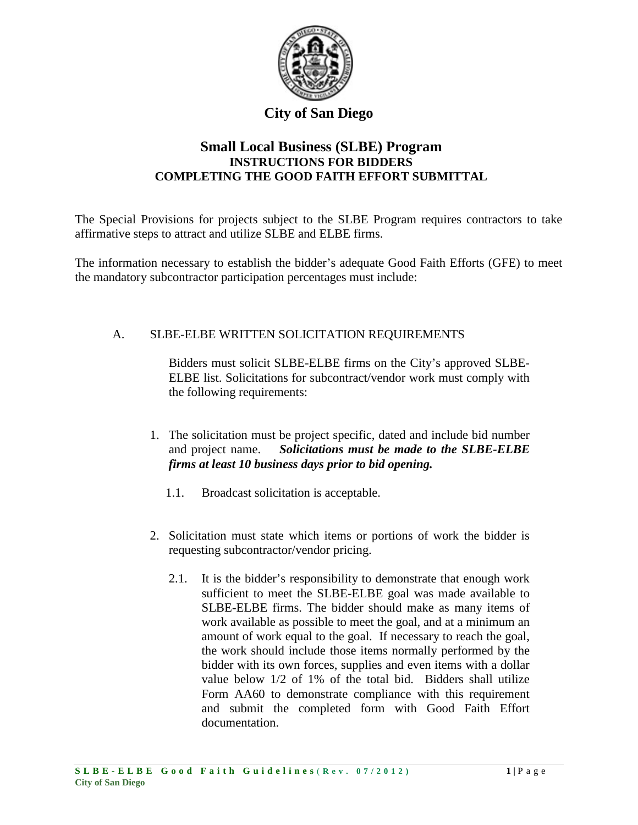

# **Small Local Business (SLBE) Program INSTRUCTIONS FOR BIDDERS COMPLETING THE GOOD FAITH EFFORT SUBMITTAL**

The Special Provisions for projects subject to the SLBE Program requires contractors to take affirmative steps to attract and utilize SLBE and ELBE firms.

The information necessary to establish the bidder's adequate Good Faith Efforts (GFE) to meet the mandatory subcontractor participation percentages must include:

#### A. SLBE-ELBE WRITTEN SOLICITATION REQUIREMENTS

Bidders must solicit SLBE-ELBE firms on the City's approved SLBE-ELBE list. Solicitations for subcontract/vendor work must comply with the following requirements:

- 1. The solicitation must be project specific, dated and include bid number and project name. *Solicitations must be made to the SLBE-ELBE firms at least 10 business days prior to bid opening.* 
	- 1.1. Broadcast solicitation is acceptable.
- 2. Solicitation must state which items or portions of work the bidder is requesting subcontractor/vendor pricing.
	- 2.1. It is the bidder's responsibility to demonstrate that enough work sufficient to meet the SLBE-ELBE goal was made available to SLBE-ELBE firms. The bidder should make as many items of work available as possible to meet the goal, and at a minimum an amount of work equal to the goal. If necessary to reach the goal, the work should include those items normally performed by the bidder with its own forces, supplies and even items with a dollar value below 1/2 of 1% of the total bid. Bidders shall utilize Form AA60 to demonstrate compliance with this requirement and submit the completed form with Good Faith Effort documentation.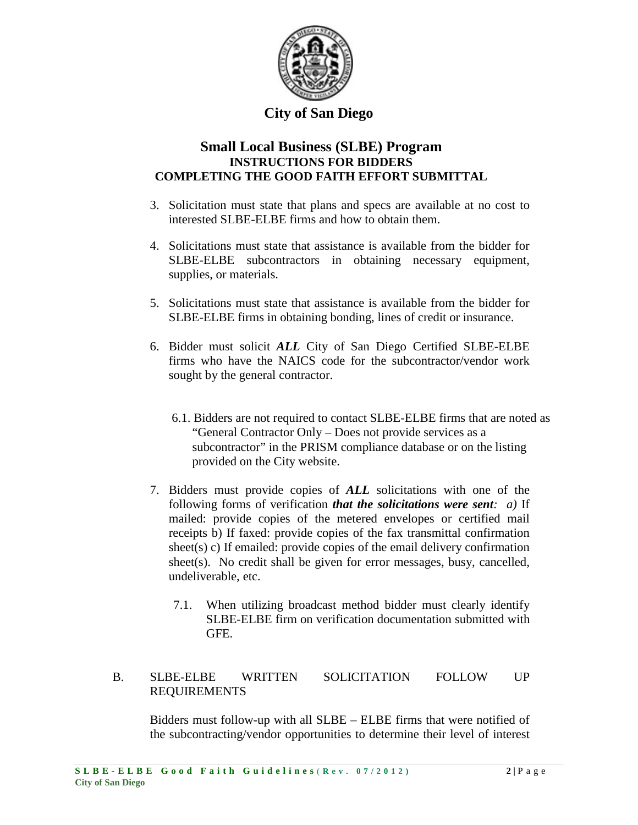

#### **Small Local Business (SLBE) Program INSTRUCTIONS FOR BIDDERS COMPLETING THE GOOD FAITH EFFORT SUBMITTAL**

- 3. Solicitation must state that plans and specs are available at no cost to interested SLBE-ELBE firms and how to obtain them.
- 4. Solicitations must state that assistance is available from the bidder for SLBE-ELBE subcontractors in obtaining necessary equipment, supplies, or materials.
- 5. Solicitations must state that assistance is available from the bidder for SLBE-ELBE firms in obtaining bonding, lines of credit or insurance.
- 6. Bidder must solicit *ALL* City of San Diego Certified SLBE-ELBE firms who have the NAICS code for the subcontractor/vendor work sought by the general contractor.
	- 6.1. Bidders are not required to contact SLBE-ELBE firms that are noted as "General Contractor Only – Does not provide services as a subcontractor" in the PRISM compliance database or on the listing provided on the City website.
- 7. Bidders must provide copies of *ALL* solicitations with one of the following forms of verification *that the solicitations were sent: a)* If mailed: provide copies of the metered envelopes or certified mail receipts b) If faxed: provide copies of the fax transmittal confirmation sheet(s) c) If emailed: provide copies of the email delivery confirmation sheet(s). No credit shall be given for error messages, busy, cancelled, undeliverable, etc.
	- 7.1. When utilizing broadcast method bidder must clearly identify SLBE-ELBE firm on verification documentation submitted with GFE.

#### B. SLBE-ELBE WRITTEN SOLICITATION FOLLOW UP REQUIREMENTS

Bidders must follow-up with all SLBE – ELBE firms that were notified of the subcontracting/vendor opportunities to determine their level of interest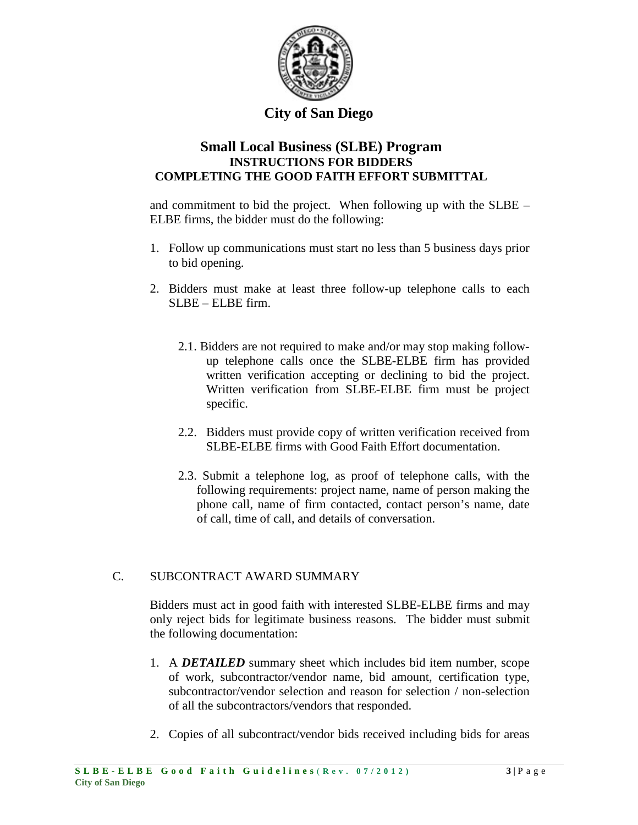

#### **Small Local Business (SLBE) Program INSTRUCTIONS FOR BIDDERS COMPLETING THE GOOD FAITH EFFORT SUBMITTAL**

and commitment to bid the project. When following up with the SLBE – ELBE firms, the bidder must do the following:

- 1. Follow up communications must start no less than 5 business days prior to bid opening.
- 2. Bidders must make at least three follow-up telephone calls to each SLBE – ELBE firm.
	- 2.1. Bidders are not required to make and/or may stop making followup telephone calls once the SLBE-ELBE firm has provided written verification accepting or declining to bid the project. Written verification from SLBE-ELBE firm must be project specific.
	- 2.2. Bidders must provide copy of written verification received from SLBE-ELBE firms with Good Faith Effort documentation.
	- 2.3. Submit a telephone log, as proof of telephone calls, with the following requirements: project name, name of person making the phone call, name of firm contacted, contact person's name, date of call, time of call, and details of conversation.

#### C. SUBCONTRACT AWARD SUMMARY

Bidders must act in good faith with interested SLBE-ELBE firms and may only reject bids for legitimate business reasons. The bidder must submit the following documentation:

- 1. A *DETAILED* summary sheet which includes bid item number, scope of work, subcontractor/vendor name, bid amount, certification type, subcontractor/vendor selection and reason for selection / non-selection of all the subcontractors/vendors that responded.
- 2. Copies of all subcontract/vendor bids received including bids for areas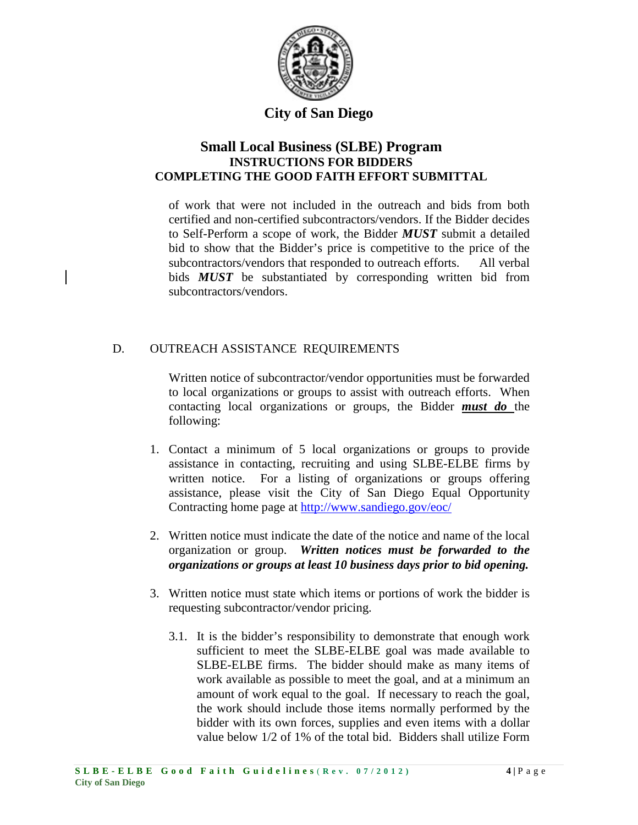

## **Small Local Business (SLBE) Program INSTRUCTIONS FOR BIDDERS COMPLETING THE GOOD FAITH EFFORT SUBMITTAL**

of work that were not included in the outreach and bids from both certified and non-certified subcontractors/vendors. If the Bidder decides to Self-Perform a scope of work, the Bidder *MUST* submit a detailed bid to show that the Bidder's price is competitive to the price of the subcontractors/vendors that responded to outreach efforts. All verbal bids *MUST* be substantiated by corresponding written bid from subcontractors/vendors.

#### D. OUTREACH ASSISTANCE REQUIREMENTS

Written notice of subcontractor/vendor opportunities must be forwarded to local organizations or groups to assist with outreach efforts. When contacting local organizations or groups, the Bidder *must do* the following:

- 1. Contact a minimum of 5 local organizations or groups to provide assistance in contacting, recruiting and using SLBE-ELBE firms by written notice. For a listing of organizations or groups offering assistance, please visit the City of San Diego Equal Opportunity Contracting home page at<http://www.sandiego.gov/eoc/>
- 2. Written notice must indicate the date of the notice and name of the local organization or group. *Written notices must be forwarded to the organizations or groups at least 10 business days prior to bid opening.*
- 3. Written notice must state which items or portions of work the bidder is requesting subcontractor/vendor pricing.
	- 3.1. It is the bidder's responsibility to demonstrate that enough work sufficient to meet the SLBE-ELBE goal was made available to SLBE-ELBE firms. The bidder should make as many items of work available as possible to meet the goal, and at a minimum an amount of work equal to the goal. If necessary to reach the goal, the work should include those items normally performed by the bidder with its own forces, supplies and even items with a dollar value below 1/2 of 1% of the total bid. Bidders shall utilize Form